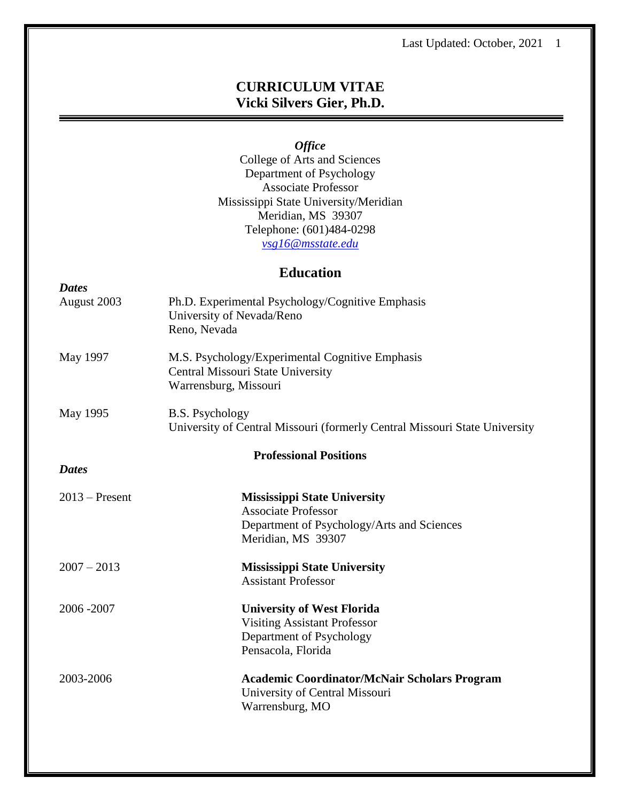# **CURRICULUM VITAE Vicki Silvers Gier, Ph.D.**

*Office*

College of Arts and Sciences Department of Psychology Associate Professor Mississippi State University/Meridian Meridian, MS 39307 Telephone: (601)484-0298 *[vsg16@msstate.edu](mailto:vgier@meridian.msstate.edu)*

# **Education**

| <b>Dates</b>     |                                                                                                                                       |
|------------------|---------------------------------------------------------------------------------------------------------------------------------------|
| August 2003      | Ph.D. Experimental Psychology/Cognitive Emphasis<br>University of Nevada/Reno<br>Reno, Nevada                                         |
| May 1997         | M.S. Psychology/Experimental Cognitive Emphasis<br>Central Missouri State University<br>Warrensburg, Missouri                         |
| May 1995         | <b>B.S. Psychology</b><br>University of Central Missouri (formerly Central Missouri State University                                  |
|                  | <b>Professional Positions</b>                                                                                                         |
| <b>Dates</b>     |                                                                                                                                       |
| $2013$ – Present | <b>Mississippi State University</b><br><b>Associate Professor</b><br>Department of Psychology/Arts and Sciences<br>Meridian, MS 39307 |
| $2007 - 2013$    | <b>Mississippi State University</b><br><b>Assistant Professor</b>                                                                     |
| 2006-2007        | <b>University of West Florida</b><br><b>Visiting Assistant Professor</b><br>Department of Psychology<br>Pensacola, Florida            |
| 2003-2006        | <b>Academic Coordinator/McNair Scholars Program</b><br>University of Central Missouri<br>Warrensburg, MO                              |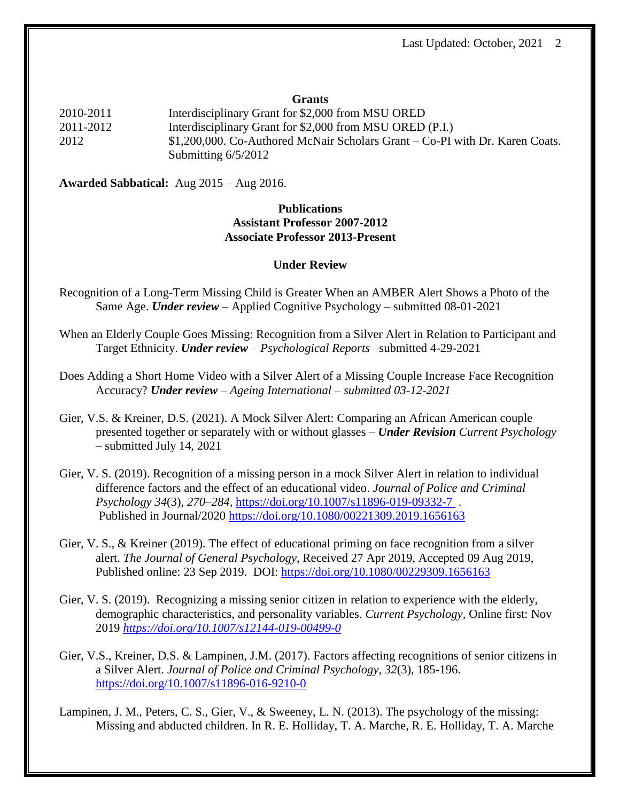#### **Grants**

2010-2011 Interdisciplinary Grant for \$2,000 from MSU ORED 2011-2012 Interdisciplinary Grant for \$2,000 from MSU ORED (P.I.) 2012 \$1,200,000. Co-Authored McNair Scholars Grant – Co-PI with Dr. Karen Coats. Submitting 6/5/2012

**Awarded Sabbatical:** Aug 2015 – Aug 2016.

# **Publications Assistant Professor 2007-2012 Associate Professor 2013-Present**

#### **Under Review**

Recognition of a Long-Term Missing Child is Greater When an AMBER Alert Shows a Photo of the Same Age. *Under review* – Applied Cognitive Psychology – submitted 08-01-2021

- When an Elderly Couple Goes Missing: Recognition from a Silver Alert in Relation to Participant and Target Ethnicity. *Under review* – *Psychological Reports* –submitted 4-29-2021
- Does Adding a Short Home Video with a Silver Alert of a Missing Couple Increase Face Recognition Accuracy? *Under review – Ageing International – submitted 03-12-2021*
- Gier, V.S. & Kreiner, D.S. (2021). A Mock Silver Alert: Comparing an African American couple presented together or separately with or without glasses – *Under Revision Current Psychology* – submitted July 14, 2021
- Gier, V. S. (2019). Recognition of a missing person in a mock Silver Alert in relation to individual difference factors and the effect of an educational video. *Journal of Police and Criminal Psychology 34*(3), *270–284,* <https://doi.org/10.1007/s11896-019-09332-7> . Published in Journal/2020 <https://doi.org/10.1080/00221309.2019.1656163>
- Gier, V. S., & Kreiner (2019). The effect of educational priming on face recognition from a silver alert. *The Journal of General Psychology*, Received 27 Apr 2019, Accepted 09 Aug 2019, Published online: 23 Sep 2019. DOI: <https://doi.org/10.1080/00229309.1656163>
- Gier, V. S. (2019). Recognizing a missing senior citizen in relation to experience with the elderly, demographic characteristics, and personality variables. *Current Psychology,* Online first: Nov 2019 *<https://doi.org/10.1007/s12144-019-00499-0>*
- Gier, V.S., Kreiner, D.S. & Lampinen, J.M. (2017). Factors affecting recognitions of senior citizens in a Silver Alert. *Journal of Police and Criminal Psychology, 32*(3), 185-196. <https://doi.org/10.1007/s11896-016-9210-0>
- Lampinen, J. M., Peters, C. S., Gier, V., & Sweeney, L. N. (2013). The psychology of the missing: Missing and abducted children. In R. E. Holliday, T. A. Marche, R. E. Holliday, T. A. Marche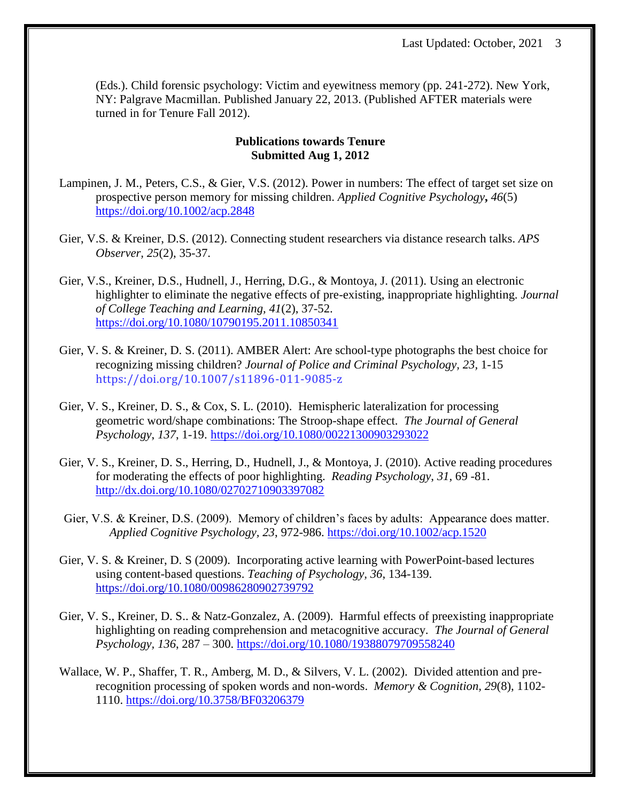(Eds.). Child forensic psychology: Victim and eyewitness memory (pp. 241-272). New York, NY: Palgrave Macmillan. Published January 22, 2013. (Published AFTER materials were turned in for Tenure Fall 2012).

# **Publications towards Tenure Submitted Aug 1, 2012**

- Lampinen, J. M., Peters, C.S., & Gier, V.S. (2012). Power in numbers: The effect of target set size on prospective person memory for missing children. *Applied Cognitive Psychology***,** *46*(5) <https://doi.org/10.1002/acp.2848>
- Gier, V.S. & Kreiner, D.S. (2012). Connecting student researchers via distance research talks. *APS Observer, 25*(2), 35-37.
- Gier, V.S., Kreiner, D.S., Hudnell, J., Herring, D.G., & Montoya, J. (2011). Using an electronic highlighter to eliminate the negative effects of pre-existing, inappropriate highlighting. *Journal of College Teaching and Learning, 41*(2), 37-52. <https://doi.org/10.1080/10790195.2011.10850341>
- Gier, V. S. & Kreiner, D. S. (2011). AMBER Alert: Are school-type photographs the best choice for recognizing missing children? *Journal of Police and Criminal Psychology, 23,* 1-15 https://doi.org/10.1007/s11896-011-9085-z
- Gier, V. S., Kreiner, D. S., & Cox, S. L. (2010). Hemispheric lateralization for processing geometric word/shape combinations: The Stroop-shape effect. *The Journal of General Psychology*, *137*, 1-19. <https://doi.org/10.1080/00221300903293022>
- Gier, V. S., Kreiner, D. S., Herring, D., Hudnell, J., & Montoya, J. (2010). Active reading procedures for moderating the effects of poor highlighting. *Reading Psychology*, *31*, 69 -81. [http://dx.doi.org/10.1080/02702710903397082](https://psycnet.apa.org/doi/10.1080/02702710903397082)
- Gier, V.S. & Kreiner, D.S. (2009). Memory of children's faces by adults: Appearance does matter. *Applied Cognitive Psychology, 23*, 972-986. <https://doi.org/10.1002/acp.1520>
- Gier, V. S. & Kreiner, D. S (2009). Incorporating active learning with PowerPoint-based lectures using content-based questions. *Teaching of Psychology, 36*, 134-139. [https://doi.org/10.1080/00986280902739792](https://doi.org/10.1080%2F00986280902739792)
- Gier, V. S., Kreiner, D. S.. & Natz-Gonzalez, A. (2009). Harmful effects of preexisting inappropriate highlighting on reading comprehension and metacognitive accuracy. *The Journal of General Psychology, 136*, 287 – 300. <https://doi.org/10.1080/19388079709558240>
- Wallace, W. P., Shaffer, T. R., Amberg, M. D., & Silvers, V. L. (2002). Divided attention and prerecognition processing of spoken words and non-words. *Memory & Cognition, 29*(8), 1102- 1110. <https://doi.org/10.3758/BF03206379>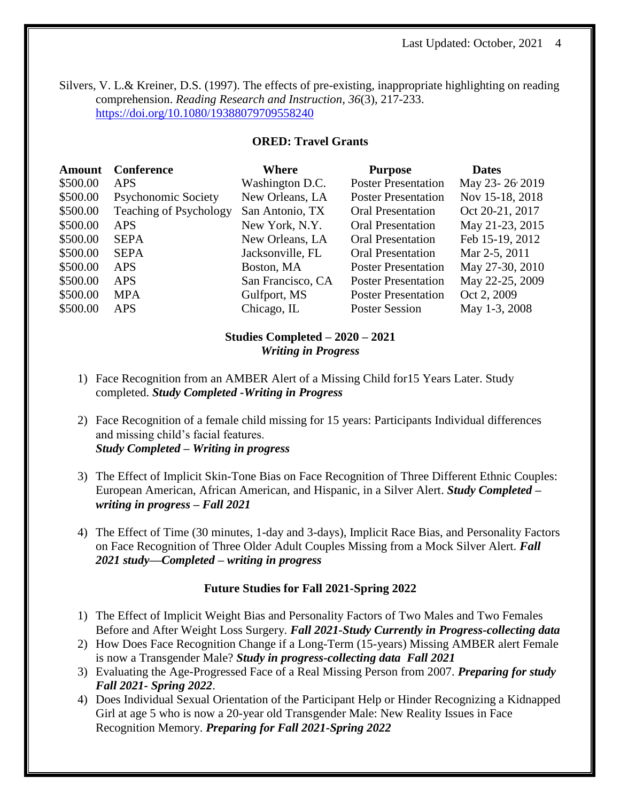Silvers, V. L.& Kreiner, D.S. (1997). The effects of pre-existing, inappropriate highlighting on reading comprehension. *Reading Research and Instruction, 36*(3), 217-233. <https://doi.org/10.1080/19388079709558240>

# **ORED: Travel Grants**

| <b>Amount</b> | Conference                    | Where             | <b>Purpose</b>             | <b>Dates</b>    |
|---------------|-------------------------------|-------------------|----------------------------|-----------------|
| \$500.00      | <b>APS</b>                    | Washington D.C.   | <b>Poster Presentation</b> | May 23-26 2019  |
| \$500.00      | Psychonomic Society           | New Orleans, LA   | <b>Poster Presentation</b> | Nov 15-18, 2018 |
| \$500.00      | <b>Teaching of Psychology</b> | San Antonio, TX   | <b>Oral Presentation</b>   | Oct 20-21, 2017 |
| \$500.00      | <b>APS</b>                    | New York, N.Y.    | <b>Oral Presentation</b>   | May 21-23, 2015 |
| \$500.00      | <b>SEPA</b>                   | New Orleans, LA   | <b>Oral Presentation</b>   | Feb 15-19, 2012 |
| \$500.00      | <b>SEPA</b>                   | Jacksonville, FL  | <b>Oral Presentation</b>   | Mar 2-5, 2011   |
| \$500.00      | <b>APS</b>                    | Boston, MA        | <b>Poster Presentation</b> | May 27-30, 2010 |
| \$500.00      | <b>APS</b>                    | San Francisco, CA | <b>Poster Presentation</b> | May 22-25, 2009 |
| \$500.00      | <b>MPA</b>                    | Gulfport, MS      | <b>Poster Presentation</b> | Oct 2, 2009     |
| \$500.00      | <b>APS</b>                    | Chicago, IL       | <b>Poster Session</b>      | May 1-3, 2008   |

# **Studies Completed – 2020 – 2021** *Writing in Progress*

- 1) Face Recognition from an AMBER Alert of a Missing Child for15 Years Later. Study completed. *Study Completed -Writing in Progress*
- 2) Face Recognition of a female child missing for 15 years: Participants Individual differences and missing child's facial features. *Study Completed – Writing in progress*
- 3) The Effect of Implicit Skin-Tone Bias on Face Recognition of Three Different Ethnic Couples: European American, African American, and Hispanic, in a Silver Alert. *Study Completed – writing in progress – Fall 2021*
- 4) The Effect of Time (30 minutes, 1-day and 3-days), Implicit Race Bias, and Personality Factors on Face Recognition of Three Older Adult Couples Missing from a Mock Silver Alert. *Fall 2021 study—Completed – writing in progress*

# **Future Studies for Fall 2021-Spring 2022**

- 1) The Effect of Implicit Weight Bias and Personality Factors of Two Males and Two Females Before and After Weight Loss Surgery. *Fall 2021-Study Currently in Progress-collecting data*
- 2) How Does Face Recognition Change if a Long-Term (15-years) Missing AMBER alert Female is now a Transgender Male? *Study in progress-collecting data Fall 2021*
- 3) Evaluating the Age-Progressed Face of a Real Missing Person from 2007. *Preparing for study Fall 2021- Spring 2022*.
- 4) Does Individual Sexual Orientation of the Participant Help or Hinder Recognizing a Kidnapped Girl at age 5 who is now a 20-year old Transgender Male: New Reality Issues in Face Recognition Memory. *Preparing for Fall 2021-Spring 2022*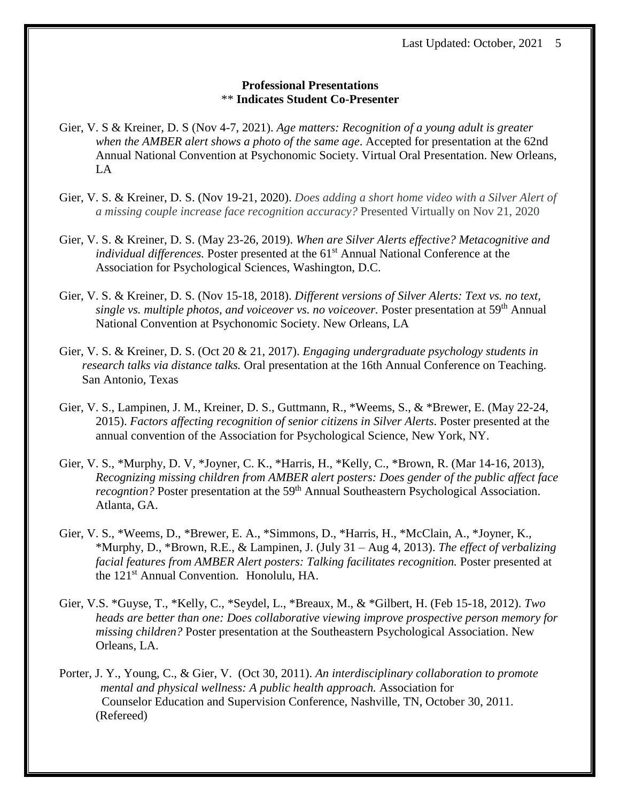### **Professional Presentations**  \*\* **Indicates Student Co-Presenter**

- Gier, V. S & Kreiner, D. S (Nov 4-7, 2021). *Age matters: Recognition of a young adult is greater when the AMBER alert shows a photo of the same age*. Accepted for presentation at the 62nd Annual National Convention at Psychonomic Society. Virtual Oral Presentation. New Orleans, LA
- Gier, V. S. & Kreiner, D. S. (Nov 19-21, 2020). *Does adding a short home video with a Silver Alert of a missing couple increase face recognition accuracy?* Presented Virtually on Nov 21, 2020
- Gier, V. S. & Kreiner, D. S. (May 23-26, 2019). *When are Silver Alerts effective? Metacognitive and individual differences.* Poster presented at the 61<sup>st</sup> Annual National Conference at the Association for Psychological Sciences, Washington, D.C.
- Gier, V. S. & Kreiner, D. S. (Nov 15-18, 2018). *Different versions of Silver Alerts: Text vs. no text, single vs. multiple photos, and voiceover vs. no voiceover.* Poster presentation at 59th Annual National Convention at Psychonomic Society. New Orleans, LA
- Gier, V. S. & Kreiner, D. S. (Oct 20 & 21, 2017). *Engaging undergraduate psychology students in research talks via distance talks.* Oral presentation at the 16th Annual Conference on Teaching. San Antonio, Texas
- Gier, V. S., Lampinen, J. M., Kreiner, D. S., Guttmann, R., \*Weems, S., & \*Brewer, E. (May 22-24, 2015). *Factors affecting recognition of senior citizens in Silver Alerts*. Poster presented at the annual convention of the Association for Psychological Science, New York, NY.
- Gier, V. S., \*Murphy, D. V, \*Joyner, C. K., \*Harris, H., \*Kelly, C., \*Brown, R. (Mar 14-16, 2013), *Recognizing missing children from AMBER alert posters: Does gender of the public affect face recogntion?* Poster presentation at the 59<sup>th</sup> Annual Southeastern Psychological Association. Atlanta, GA.
- Gier, V. S., \*Weems, D., \*Brewer, E. A., \*Simmons, D., \*Harris, H., \*McClain, A., \*Joyner, K., \*Murphy, D., \*Brown, R.E., & Lampinen, J. (July 31 – Aug 4, 2013). *The effect of verbalizing facial features from AMBER Alert posters: Talking facilitates recognition.* Poster presented at the 121st Annual Convention. Honolulu, HA.
- Gier, V.S. \*Guyse, T., \*Kelly, C., \*Seydel, L., \*Breaux, M., & \*Gilbert, H. (Feb 15-18, 2012). *Two heads are better than one: Does collaborative viewing improve prospective person memory for missing children?* Poster presentation at the Southeastern Psychological Association. New Orleans, LA.
- Porter, J. Y., Young, C., & Gier, V. (Oct 30, 2011). *An interdisciplinary collaboration to promote mental and physical wellness: A public health approach.* Association for Counselor Education and Supervision Conference, Nashville, TN, October 30, 2011. (Refereed)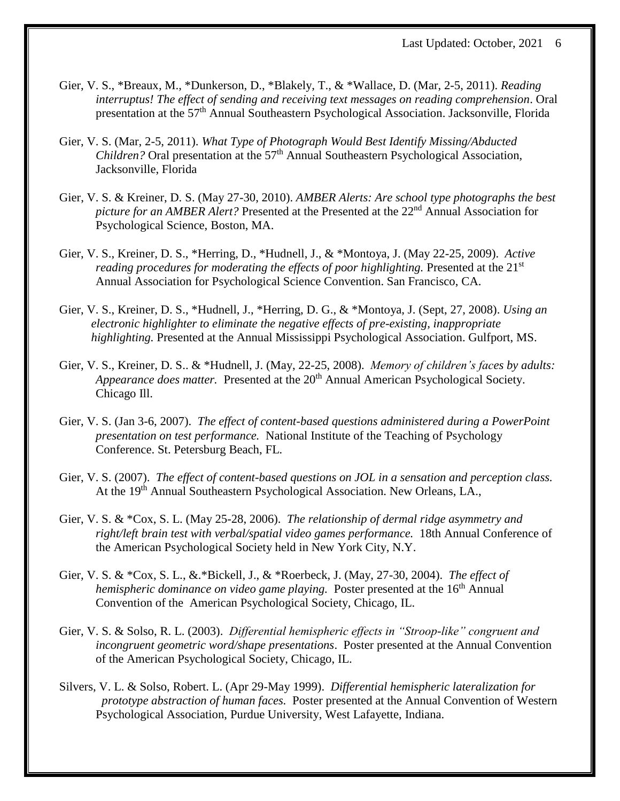- Gier, V. S., \*Breaux, M., \*Dunkerson, D., \*Blakely, T., & \*Wallace, D. (Mar, 2-5, 2011). *Reading interruptus! The effect of sending and receiving text messages on reading comprehension*. Oral presentation at the 57th Annual Southeastern Psychological Association. Jacksonville, Florida
- Gier, V. S. (Mar, 2-5, 2011). *What Type of Photograph Would Best Identify Missing/Abducted Children?* Oral presentation at the 57<sup>th</sup> Annual Southeastern Psychological Association, Jacksonville, Florida
- Gier, V. S. & Kreiner, D. S. (May 27-30, 2010). *AMBER Alerts: Are school type photographs the best picture for an AMBER Alert?* Presented at the Presented at the 22<sup>nd</sup> Annual Association for Psychological Science, Boston, MA.
- Gier, V. S., Kreiner, D. S., \*Herring, D., \*Hudnell, J., & \*Montoya, J. (May 22-25, 2009). *Active reading procedures for moderating the effects of poor highlighting.* Presented at the 21<sup>st</sup> Annual Association for Psychological Science Convention. San Francisco, CA.
- Gier, V. S., Kreiner, D. S., \*Hudnell, J., \*Herring, D. G., & \*Montoya, J. (Sept, 27, 2008). *Using an electronic highlighter to eliminate the negative effects of pre-existing, inappropriate highlighting.* Presented at the Annual Mississippi Psychological Association. Gulfport, MS.
- Gier, V. S., Kreiner, D. S.. & \*Hudnell, J. (May, 22-25, 2008). *Memory of children's faces by adults: Appearance does matter.* Presented at the 20<sup>th</sup> Annual American Psychological Society. Chicago Ill.
- Gier, V. S. (Jan 3-6, 2007). *The effect of content-based questions administered during a PowerPoint presentation on test performance.* National Institute of the Teaching of Psychology Conference. St. Petersburg Beach, FL*.*
- Gier, V. S. (2007). *The effect of content-based questions on JOL in a sensation and perception class.* At the 19<sup>th</sup> Annual Southeastern Psychological Association. New Orleans, LA.,
- Gier, V. S. & \*Cox, S. L. (May 25-28, 2006). *The relationship of dermal ridge asymmetry and right/left brain test with verbal/spatial video games performance.* 18th Annual Conference of the American Psychological Society held in New York City, N.Y.
- Gier, V. S. & \*Cox, S. L., &.\*Bickell, J., & \*Roerbeck, J. (May, 27-30, 2004). *The effect of hemispheric dominance on video game playing.* Poster presented at the 16<sup>th</sup> Annual Convention of the American Psychological Society, Chicago, IL.
- Gier, V. S. & Solso, R. L. (2003). *Differential hemispheric effects in "Stroop-like" congruent and incongruent geometric word/shape presentations*. Poster presented at the Annual Convention of the American Psychological Society, Chicago, IL.
- Silvers, V. L. & Solso, Robert. L. (Apr 29-May 1999). *Differential hemispheric lateralization for prototype abstraction of human faces.* Poster presented at the Annual Convention of Western Psychological Association, Purdue University, West Lafayette, Indiana.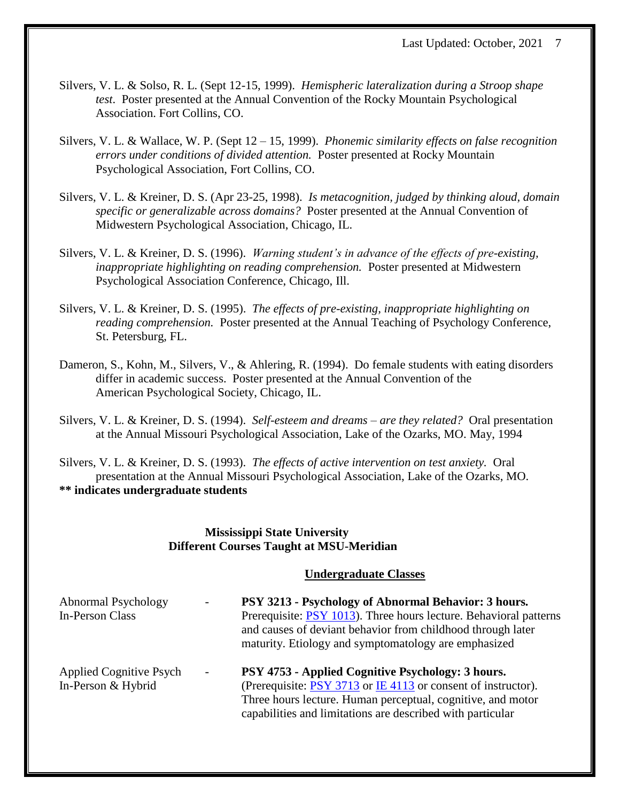- Silvers, V. L. & Solso, R. L. (Sept 12-15, 1999). *Hemispheric lateralization during a Stroop shape test*. Poster presented at the Annual Convention of the Rocky Mountain Psychological Association. Fort Collins, CO.
- Silvers, V. L. & Wallace, W. P. (Sept 12 15, 1999). *Phonemic similarity effects on false recognition errors under conditions of divided attention.* Poster presented at Rocky Mountain Psychological Association, Fort Collins, CO.
- Silvers, V. L. & Kreiner, D. S. (Apr 23-25, 1998). *Is metacognition, judged by thinking aloud, domain specific or generalizable across domains?* Poster presented at the Annual Convention of Midwestern Psychological Association, Chicago, IL.
- Silvers, V. L. & Kreiner, D. S. (1996). *Warning student's in advance of the effects of pre-existing, inappropriate highlighting on reading comprehension.* Poster presented at Midwestern Psychological Association Conference, Chicago, Ill.
- Silvers, V. L. & Kreiner, D. S. (1995). *The effects of pre-existing, inappropriate highlighting on reading comprehension.* Poster presented at the Annual Teaching of Psychology Conference, St. Petersburg, FL.
- Dameron, S., Kohn, M., Silvers, V., & Ahlering, R. (1994). Do female students with eating disorders differ in academic success. Poster presented at the Annual Convention of the American Psychological Society, Chicago, IL.
- Silvers, V. L. & Kreiner, D. S. (1994). *Self-esteem and dreams – are they related?* Oral presentation at the Annual Missouri Psychological Association, Lake of the Ozarks, MO. May, 1994
- Silvers, V. L. & Kreiner, D. S. (1993). *The effects of active intervention on test anxiety.* Oral presentation at the Annual Missouri Psychological Association, Lake of the Ozarks, MO. **\*\* indicates undergraduate students**

# **Mississippi State University** **Different Courses Taught at MSU-Meridian**

# **Undergraduate Classes**

| Abnormal Psychology<br>$\overline{\phantom{a}}$<br>In-Person Class | PSY 3213 - Psychology of Abnormal Behavior: 3 hours.<br>Prerequisite: PSY 1013). Three hours lecture. Behavioral patterns<br>and causes of deviant behavior from childhood through later<br>maturity. Etiology and symptomatology are emphasized |
|--------------------------------------------------------------------|--------------------------------------------------------------------------------------------------------------------------------------------------------------------------------------------------------------------------------------------------|
| <b>Applied Cognitive Psych</b><br>$\overline{\phantom{0}}$         | PSY 4753 - Applied Cognitive Psychology: 3 hours.                                                                                                                                                                                                |
| In-Person & Hybrid                                                 | (Prerequisite: PSY 3713 or IE 4113 or consent of instructor).                                                                                                                                                                                    |
|                                                                    | Three hours lecture. Human perceptual, cognitive, and motor                                                                                                                                                                                      |
|                                                                    | capabilities and limitations are described with particular                                                                                                                                                                                       |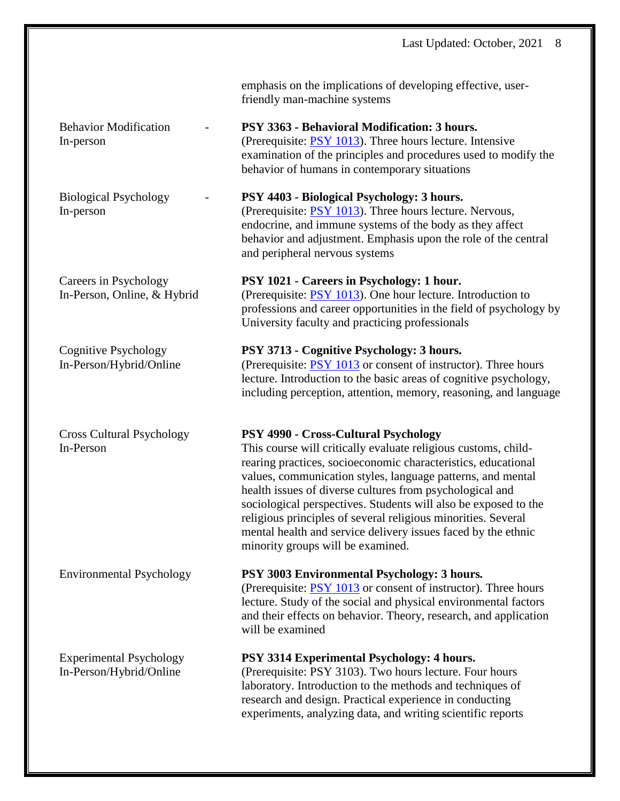Experimental Psychology **PSY 3314 Experimental Psychology: 4 hours.**

emphasis on the implications of developing effective, userfriendly man-machine systems

Behavior Modification - **PSY 3363 - Behavioral Modification: 3 hours.** In-person (Prerequisite: PSY [1013\)](http://www.catalog.msstate.edu/search/?P=PSY%201013). Three hours lecture. Intensive examination of the principles and procedures used to modify the behavior of humans in contemporary situations

Biological Psychology - **PSY 4403 - Biological Psychology: 3 hours.** In-person (Prerequisite: PSY [1013\)](http://www.catalog.msstate.edu/search/?P=PSY%201013). Three hours lecture. Nervous, endocrine, and immune systems of the body as they affect behavior and adjustment. Emphasis upon the role of the central and peripheral nervous systems

Careers in Psychology **PSY 1021 - Careers in Psychology: 1 hour.** In-Person, Online, & Hybrid (Prerequisite: PSY [1013\)](http://www.catalog.msstate.edu/search/?P=PSY%201013). One hour lecture. Introduction to professions and career opportunities in the field of psychology by University faculty and practicing professionals

# Cognitive Psychology **PSY 3713 - Cognitive Psychology: 3 hours.** In-Person/Hybrid/Online (Prerequisite: PSY [1013](http://www.catalog.msstate.edu/search/?P=PSY%201013) or consent of instructor). Three hours lecture. Introduction to the basic areas of cognitive psychology, including perception, attention, memory, reasoning, and language

# Cross Cultural Psychology **PSY 4990 - Cross-Cultural Psychology**

In-Person This course will critically evaluate religious customs, childrearing practices, socioeconomic characteristics, educational values, communication styles, language patterns, and mental health issues of diverse cultures from psychological and sociological perspectives. Students will also be exposed to the religious principles of several religious minorities. Several mental health and service delivery issues faced by the ethnic minority groups will be examined.

# Environmental Psychology **PSY 3003 Environmental Psychology: 3 hours***.*

(Prerequisite: PSY [1013](http://www.catalog.msstate.edu/search/?P=PSY%201013) or consent of instructor). Three hours lecture. Study of the social and physical environmental factors and their effects on behavior. Theory, research, and application will be examined

In-Person/Hybrid/Online (Prerequisite: PSY 3103). Two hours lecture. Four hours laboratory. Introduction to the methods and techniques of research and design. Practical experience in conducting experiments, analyzing data, and writing scientific reports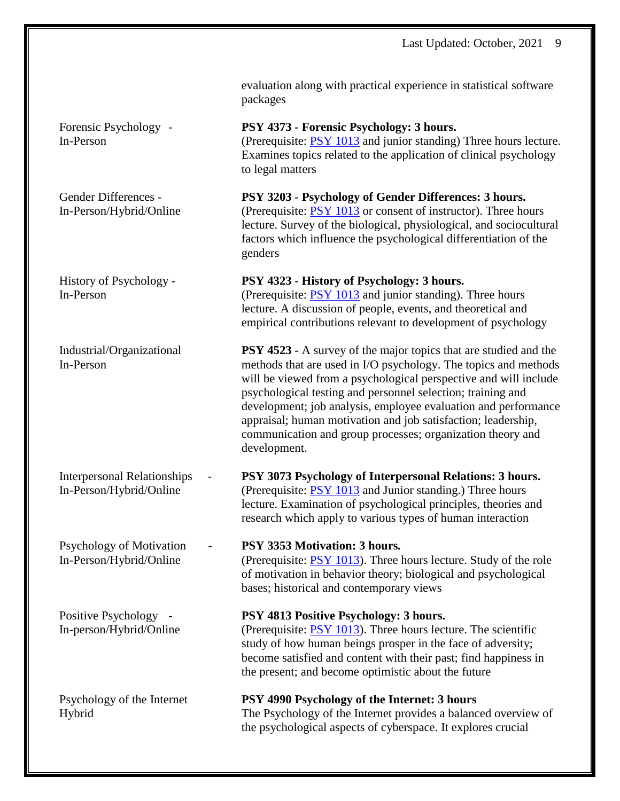Psychology of Motivation - **PSY 3353 Motivation: 3 hours***.*

evaluation along with practical experience in statistical software packages

Forensic Psychology - **PSY 4373 - Forensic Psychology: 3 hours.** In-Person (Prerequisite: PSY [1013](http://www.catalog.msstate.edu/search/?P=PSY%201013) and junior standing) Three hours lecture. Examines topics related to the application of clinical psychology to legal matters

Gender Differences - **PSY 3203 - Psychology of Gender Differences: 3 hours.** In-Person/Hybrid/Online (Prerequisite: PSY [1013](http://www.catalog.msstate.edu/search/?P=PSY%201013) or consent of instructor). Three hours lecture. Survey of the biological, physiological, and sociocultural factors which influence the psychological differentiation of the genders

History of Psychology - **PSY 4323 - History of Psychology: 3 hours.**

In-Person (Prerequisite: PSY [1013](http://www.catalog.msstate.edu/search/?P=PSY%201013) and junior standing). Three hours lecture. A discussion of people, events, and theoretical and empirical contributions relevant to development of psychology

Industrial/Organizational **PSY 4523 -** A survey of the major topics that are studied and the In-Person methods that are used in I/O psychology. The topics and methods will be viewed from a psychological perspective and will include psychological testing and personnel selection; training and development; job analysis, employee evaluation and performance appraisal; human motivation and job satisfaction; leadership, communication and group processes; organization theory and development.

Interpersonal Relationships - **PSY 3073 Psychology of Interpersonal Relations: 3 hours.** In-Person/Hybrid/Online (Prerequisite: PSY [1013](http://www.catalog.msstate.edu/search/?P=PSY%201013) and Junior standing.) Three hours lecture. Examination of psychological principles, theories and research which apply to various types of human interaction

In-Person/Hybrid/Online (Prerequisite: PSY [1013\)](http://www.catalog.msstate.edu/search/?P=PSY%201013). Three hours lecture. Study of the role of motivation in behavior theory; biological and psychological bases; historical and contemporary views

Positive Psychology - **PSY 4813 Positive Psychology: 3 hours.**

In-person/Hybrid/Online (Prerequisite: PSY [1013\)](http://www.catalog.msstate.edu/search/?P=PSY%201013). Three hours lecture. The scientific study of how human beings prosper in the face of adversity; become satisfied and content with their past; find happiness in the present; and become optimistic about the future

Psychology of the Internet **PSY 4990 Psychology of the Internet: 3 hours** Hybrid The Psychology of the Internet provides a balanced overview of the psychological aspects of cyberspace. It explores crucial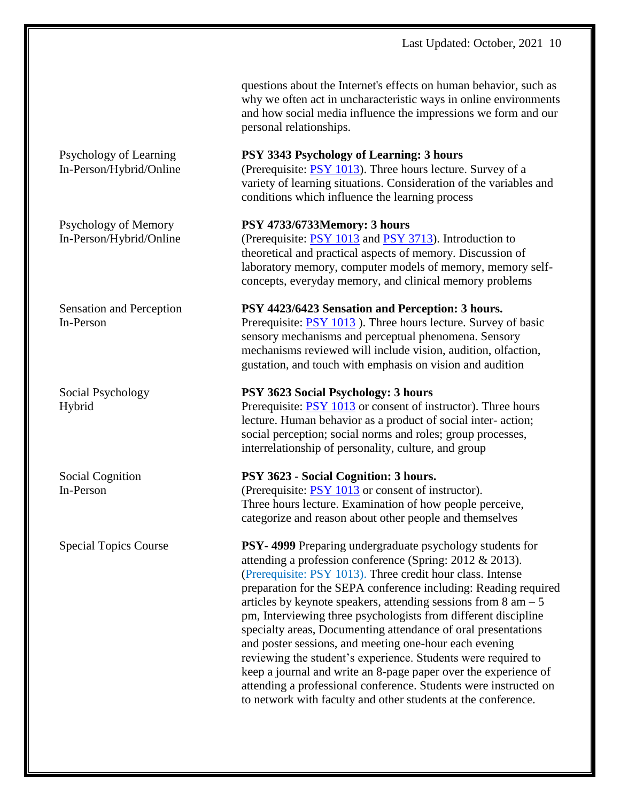questions about the Internet's effects on human behavior, such as why we often act in uncharacteristic ways in online environments and how social media influence the impressions we form and our personal relationships.

### Psychology of Learning **PSY 3343 Psychology of Learning: 3 hours**

In-Person/Hybrid/Online (Prerequisite: PSY [1013\)](http://www.catalog.msstate.edu/search/?P=PSY%201013). Three hours lecture. Survey of a variety of learning situations. Consideration of the variables and conditions which influence the learning process

#### Psychology of Memory **PSY 4733/6733Memory: 3 hours**

In-Person/Hybrid/Online (Prerequisite: PSY [1013](http://www.catalog.msstate.edu/search/?P=PSY%201013) and PSY [3713\)](http://www.catalog.msstate.edu/search/?P=PSY%203713). Introduction to theoretical and practical aspects of memory. Discussion of laboratory memory, computer models of memory, memory selfconcepts, everyday memory, and clinical memory problems

#### Sensation and Perception **PSY 4423/6423 Sensation and Perception: 3 hours.**

In-Person Prerequisite: PSY [1013](http://www.catalog.msstate.edu/search/?P=PSY%201013) ). Three hours lecture. Survey of basic sensory mechanisms and perceptual phenomena. Sensory mechanisms reviewed will include vision, audition, olfaction, gustation, and touch with emphasis on vision and audition

#### Social Psychology **PSY 3623 Social Psychology: 3 hours**

Hybrid Prerequisite: PSY [1013](http://www.catalog.msstate.edu/search/?P=PSY%201013) or consent of instructor). Three hours lecture. Human behavior as a product of social inter- action; social perception; social norms and roles; group processes, interrelationship of personality, culture, and group

#### Social Cognition **PSY 3623 - Social Cognition: 3 hours.**

In-Person (Prerequisite: PSY [1013](http://www.catalog.msstate.edu/search/?P=PSY%201013) or consent of instructor). Three hours lecture. Examination of how people perceive, categorize and reason about other people and themselves

Special Topics Course **PSY- 4999** Preparing undergraduate psychology students for attending a profession conference (Spring: 2012 & 2013). (Prerequisite: PSY 1013). Three credit hour class. Intense preparation for the SEPA conference including: Reading required articles by keynote speakers, attending sessions from  $8 \text{ am } -5$ pm, Interviewing three psychologists from different discipline specialty areas, Documenting attendance of oral presentations and poster sessions, and meeting one-hour each evening reviewing the student's experience. Students were required to keep a journal and write an 8-page paper over the experience of attending a professional conference. Students were instructed on to network with faculty and other students at the conference.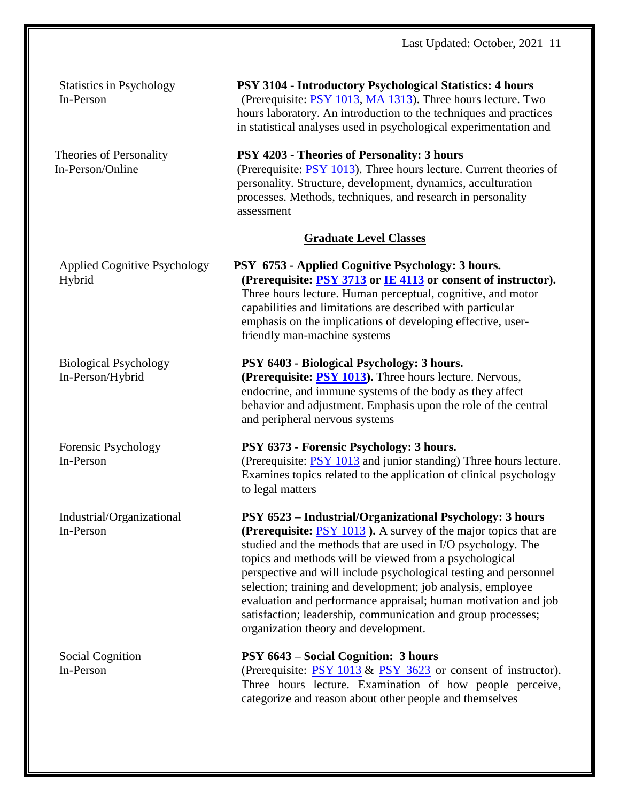Statistics in Psychology **PSY 3104 - Introductory Psychological Statistics: 4 hours** In-Person (Prerequisite: PSY [1013,](http://www.catalog.msstate.edu/search/?P=PSY%201013) MA [1313\)](http://www.catalog.msstate.edu/search/?P=MA%201313). Three hours lecture. Two hours laboratory. An introduction to the techniques and practices in statistical analyses used in psychological experimentation and

Theories of Personality **PSY 4203 - Theories of Personality: 3 hours** In-Person/Online (Prerequisite: PSY [1013\)](http://www.catalog.msstate.edu/search/?P=PSY%201013). Three hours lecture. Current theories of personality. Structure, development, dynamics, acculturation processes. Methods, techniques, and research in personality assessment

# **Graduate Level Classes**

Applied Cognitive Psychology **PSY 6753 - Applied Cognitive Psychology: 3 hours.** Hybrid **(Prerequisite: PSY [3713](http://www.catalog.msstate.edu/search/?P=PSY%203713) or IE [4113](http://www.catalog.msstate.edu/search/?P=IE%204113) or consent of instructor).** Three hours lecture. Human perceptual, cognitive, and motor capabilities and limitations are described with particular emphasis on the implications of developing effective, userfriendly man-machine systems

# Biological Psychology **PSY 6403 - Biological Psychology: 3 hours.**

In-Person/Hybrid **(Prerequisite: PSY [1013\)](http://www.catalog.msstate.edu/search/?P=PSY%201013).** Three hours lecture. Nervous, endocrine, and immune systems of the body as they affect behavior and adjustment. Emphasis upon the role of the central and peripheral nervous systems

# Forensic Psychology **PSY 6373 - Forensic Psychology: 3 hours.** In-Person (Prerequisite: PSY [1013](http://www.catalog.msstate.edu/search/?P=PSY%201013) and junior standing) Three hours lecture.

Examines topics related to the application of clinical psychology to legal matters

Industrial/Organizational **PSY 6523 – Industrial/Organizational Psychology: 3 hours** In-Person **(Prerequisite:** PSY [1013](http://www.catalog.msstate.edu/search/?P=PSY%201013) **).** A survey of the major topics that are

studied and the methods that are used in I/O psychology. The topics and methods will be viewed from a psychological perspective and will include psychological testing and personnel selection; training and development; job analysis, employee evaluation and performance appraisal; human motivation and job satisfaction; leadership, communication and group processes; organization theory and development.

# Social Cognition **PSY 6643 – Social Cognition: 3 hours**

In-Person (Prerequisite: [PSY](http://www.catalog.msstate.edu/search/?P=PSY%201013) 1013 & PSY 3623 or consent of instructor). Three hours lecture. Examination of how people perceive, categorize and reason about other people and themselves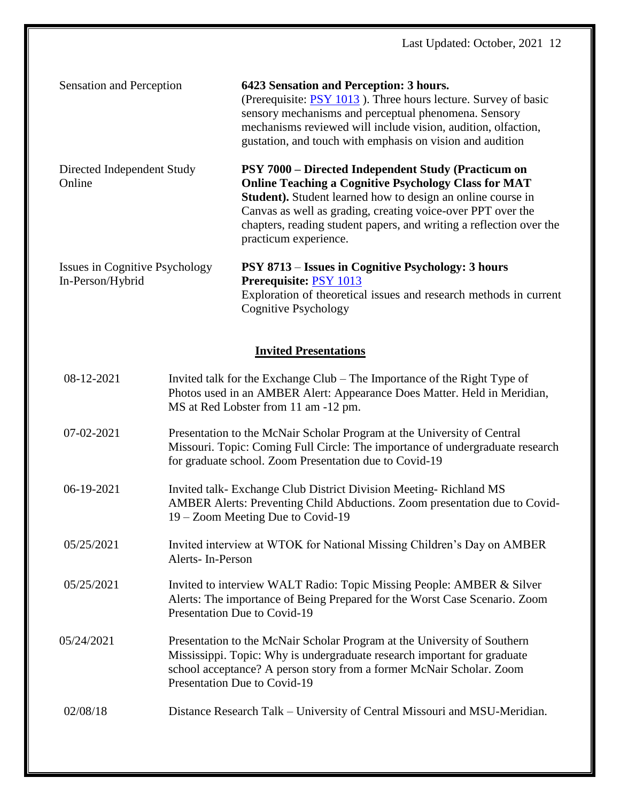| Sensation and Perception                           | 6423 Sensation and Perception: 3 hours.<br>(Prerequisite: PSY 1013). Three hours lecture. Survey of basic<br>sensory mechanisms and perceptual phenomena. Sensory<br>mechanisms reviewed will include vision, audition, olfaction,<br>gustation, and touch with emphasis on vision and audition                                                                |
|----------------------------------------------------|----------------------------------------------------------------------------------------------------------------------------------------------------------------------------------------------------------------------------------------------------------------------------------------------------------------------------------------------------------------|
| Directed Independent Study<br>Online               | <b>PSY 7000 – Directed Independent Study (Practicum on</b><br><b>Online Teaching a Cognitive Psychology Class for MAT</b><br><b>Student).</b> Student learned how to design an online course in<br>Canvas as well as grading, creating voice-over PPT over the<br>chapters, reading student papers, and writing a reflection over the<br>practicum experience. |
| Issues in Cognitive Psychology<br>In-Person/Hybrid | PSY 8713 – Issues in Cognitive Psychology: 3 hours<br>Prerequisite: PSY 1013<br>Exploration of theoretical issues and research methods in current<br>Cognitive Psychology                                                                                                                                                                                      |

# **Invited Presentations**

| 08-12-2021 | Invited talk for the Exchange Club – The Importance of the Right Type of<br>Photos used in an AMBER Alert: Appearance Does Matter. Held in Meridian,<br>MS at Red Lobster from 11 am -12 pm.                                                                 |
|------------|--------------------------------------------------------------------------------------------------------------------------------------------------------------------------------------------------------------------------------------------------------------|
| 07-02-2021 | Presentation to the McNair Scholar Program at the University of Central<br>Missouri. Topic: Coming Full Circle: The importance of undergraduate research<br>for graduate school. Zoom Presentation due to Covid-19                                           |
| 06-19-2021 | Invited talk-Exchange Club District Division Meeting-Richland MS<br>AMBER Alerts: Preventing Child Abductions. Zoom presentation due to Covid-<br>19 – Zoom Meeting Due to Covid-19                                                                          |
| 05/25/2021 | Invited interview at WTOK for National Missing Children's Day on AMBER<br>Alerts-In-Person                                                                                                                                                                   |
| 05/25/2021 | Invited to interview WALT Radio: Topic Missing People: AMBER & Silver<br>Alerts: The importance of Being Prepared for the Worst Case Scenario. Zoom<br>Presentation Due to Covid-19                                                                          |
| 05/24/2021 | Presentation to the McNair Scholar Program at the University of Southern<br>Mississippi. Topic: Why is undergraduate research important for graduate<br>school acceptance? A person story from a former McNair Scholar. Zoom<br>Presentation Due to Covid-19 |
| 02/08/18   | Distance Research Talk – University of Central Missouri and MSU-Meridian.                                                                                                                                                                                    |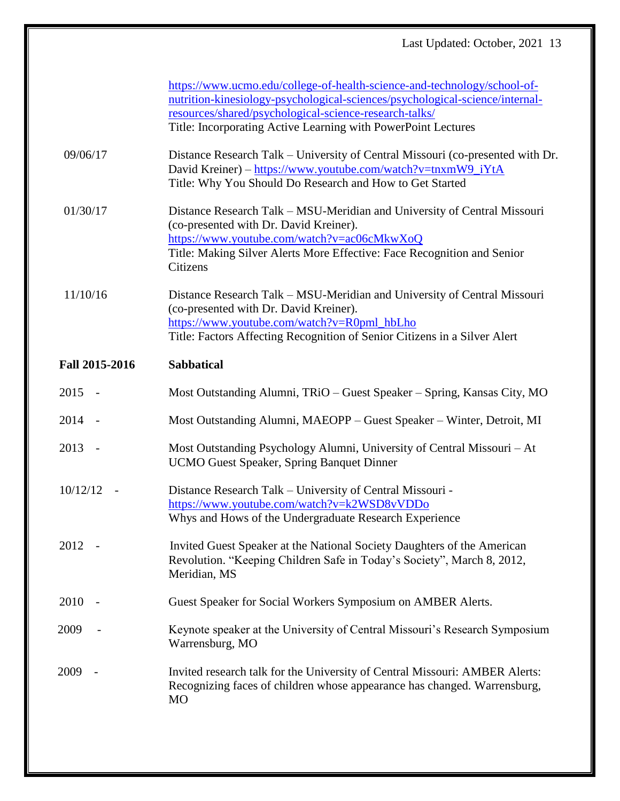|                                      | https://www.ucmo.edu/college-of-health-science-and-technology/school-of-<br>nutrition-kinesiology-psychological-sciences/psychological-science/internal-<br>resources/shared/psychological-science-research-talks/<br>Title: Incorporating Active Learning with PowerPoint Lectures |
|--------------------------------------|-------------------------------------------------------------------------------------------------------------------------------------------------------------------------------------------------------------------------------------------------------------------------------------|
| 09/06/17                             | Distance Research Talk – University of Central Missouri (co-presented with Dr.<br>David Kreiner) - https://www.youtube.com/watch?v=tnxmW9_iYtA<br>Title: Why You Should Do Research and How to Get Started                                                                          |
| 01/30/17                             | Distance Research Talk – MSU-Meridian and University of Central Missouri<br>(co-presented with Dr. David Kreiner).<br>https://www.youtube.com/watch?v=ac06cMkwXoQ<br>Title: Making Silver Alerts More Effective: Face Recognition and Senior<br>Citizens                            |
| 11/10/16                             | Distance Research Talk – MSU-Meridian and University of Central Missouri<br>(co-presented with Dr. David Kreiner).<br>https://www.youtube.com/watch?v=R0pml_hbLho<br>Title: Factors Affecting Recognition of Senior Citizens in a Silver Alert                                      |
| Fall 2015-2016                       | <b>Sabbatical</b>                                                                                                                                                                                                                                                                   |
| $2015 -$                             | Most Outstanding Alumni, TRiO – Guest Speaker – Spring, Kansas City, MO                                                                                                                                                                                                             |
| 2014                                 | Most Outstanding Alumni, MAEOPP - Guest Speaker - Winter, Detroit, MI                                                                                                                                                                                                               |
| 2013<br>$\overline{\phantom{a}}$     | Most Outstanding Psychology Alumni, University of Central Missouri - At<br><b>UCMO Guest Speaker, Spring Banquet Dinner</b>                                                                                                                                                         |
| 10/12/12<br>$\overline{\phantom{a}}$ | Distance Research Talk – University of Central Missouri -<br>https://www.youtube.com/watch?v=k2WSD8vVDDo<br>Whys and Hows of the Undergraduate Research Experience                                                                                                                  |
| 2012                                 | Invited Guest Speaker at the National Society Daughters of the American<br>Revolution. "Keeping Children Safe in Today's Society", March 8, 2012,<br>Meridian, MS                                                                                                                   |
| 2010                                 | Guest Speaker for Social Workers Symposium on AMBER Alerts.                                                                                                                                                                                                                         |
| 2009                                 | Keynote speaker at the University of Central Missouri's Research Symposium<br>Warrensburg, MO                                                                                                                                                                                       |
| 2009                                 | Invited research talk for the University of Central Missouri: AMBER Alerts:<br>Recognizing faces of children whose appearance has changed. Warrensburg,<br><b>MO</b>                                                                                                                |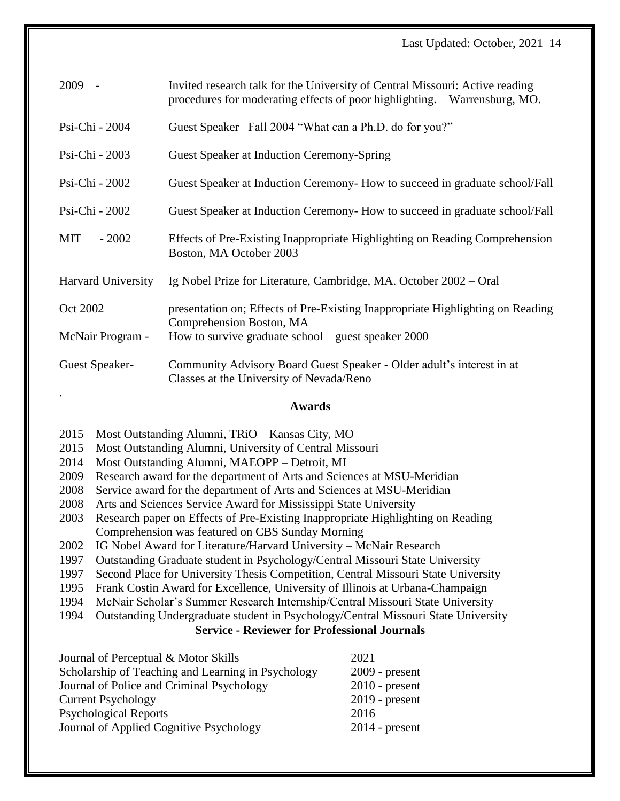| 2009                  | Invited research talk for the University of Central Missouri: Active reading<br>procedures for moderating effects of poor highlighting. - Warrensburg, MO. |
|-----------------------|------------------------------------------------------------------------------------------------------------------------------------------------------------|
| Psi-Chi - 2004        | Guest Speaker-Fall 2004 "What can a Ph.D. do for you?"                                                                                                     |
| Psi-Chi - 2003        | Guest Speaker at Induction Ceremony-Spring                                                                                                                 |
| Psi-Chi - 2002        | Guest Speaker at Induction Ceremony- How to succeed in graduate school/Fall                                                                                |
| Psi-Chi - 2002        | Guest Speaker at Induction Ceremony- How to succeed in graduate school/Fall                                                                                |
| <b>MIT</b><br>$-2002$ | Effects of Pre-Existing Inappropriate Highlighting on Reading Comprehension<br>Boston, MA October 2003                                                     |
| Harvard University    | Ig Nobel Prize for Literature, Cambridge, MA. October 2002 – Oral                                                                                          |
| Oct 2002              | presentation on; Effects of Pre-Existing Inappropriate Highlighting on Reading<br>Comprehension Boston, MA                                                 |
| McNair Program -      | How to survive graduate school – guest speaker $2000$                                                                                                      |
| Guest Speaker-        | Community Advisory Board Guest Speaker - Older adult's interest in at<br>Classes at the University of Nevada/Reno                                          |

# **Awards**

2015 Most Outstanding Alumni, TRiO – Kansas City, MO

- 2015 Most Outstanding Alumni, University of Central Missouri
- 2014 Most Outstanding Alumni, MAEOPP Detroit, MI
- 2009 Research award for the department of Arts and Sciences at MSU-Meridian
- 2008 Service award for the department of Arts and Sciences at MSU-Meridian
- 2008 Arts and Sciences Service Award for Mississippi State University
- 2003 Research paper on Effects of Pre-Existing Inappropriate Highlighting on Reading Comprehension was featured on CBS Sunday Morning
- 2002 IG Nobel Award for Literature/Harvard University McNair Research
- 1997 Outstanding Graduate student in Psychology/Central Missouri State University
- 1997 Second Place for University Thesis Competition, Central Missouri State University
- 1995 Frank Costin Award for Excellence, University of Illinois at Urbana-Champaign
- 1994 McNair Scholar's Summer Research Internship/Central Missouri State University
- 1994 Outstanding Undergraduate student in Psychology/Central Missouri State University

# **Service - Reviewer for Professional Journals**

| Journal of Perceptual & Motor Skills               | 2021             |
|----------------------------------------------------|------------------|
| Scholarship of Teaching and Learning in Psychology | $2009$ - present |
| Journal of Police and Criminal Psychology          | $2010$ - present |
| <b>Current Psychology</b>                          | $2019$ - present |
| <b>Psychological Reports</b>                       | 2016             |
| Journal of Applied Cognitive Psychology            | $2014$ - present |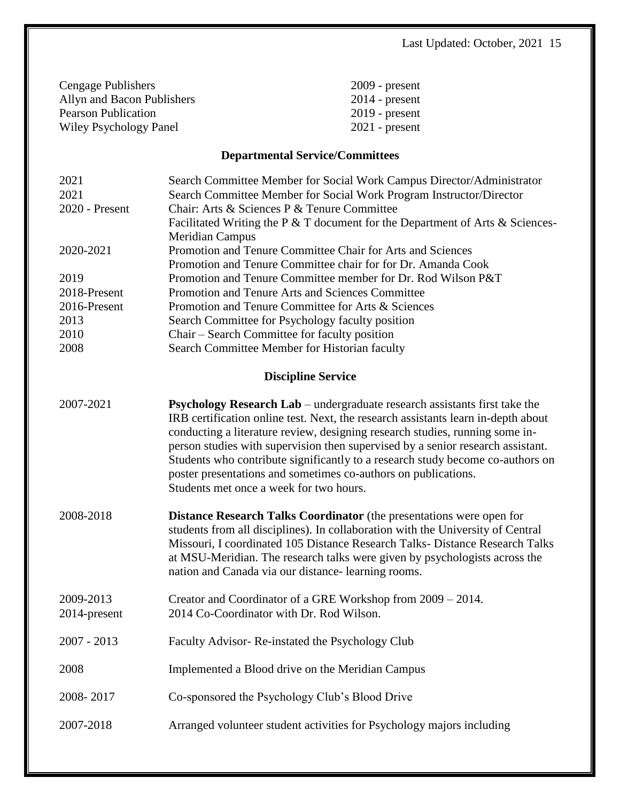| $2009$ - present |
|------------------|
| $2014$ - present |
| $2019$ - present |
| $2021$ - present |
|                  |

# **Departmental Service/Committees**

| 2021                      | Search Committee Member for Social Work Campus Director/Administrator                                                                                                                                                                                                                                                                                                                                                                                                                                                                    |
|---------------------------|------------------------------------------------------------------------------------------------------------------------------------------------------------------------------------------------------------------------------------------------------------------------------------------------------------------------------------------------------------------------------------------------------------------------------------------------------------------------------------------------------------------------------------------|
| 2021                      | Search Committee Member for Social Work Program Instructor/Director                                                                                                                                                                                                                                                                                                                                                                                                                                                                      |
| 2020 - Present            | Chair: Arts & Sciences P & Tenure Committee                                                                                                                                                                                                                                                                                                                                                                                                                                                                                              |
|                           | Facilitated Writing the P $&$ T document for the Department of Arts $&$ Sciences-<br><b>Meridian Campus</b>                                                                                                                                                                                                                                                                                                                                                                                                                              |
| 2020-2021                 | Promotion and Tenure Committee Chair for Arts and Sciences                                                                                                                                                                                                                                                                                                                                                                                                                                                                               |
|                           | Promotion and Tenure Committee chair for for Dr. Amanda Cook                                                                                                                                                                                                                                                                                                                                                                                                                                                                             |
| 2019                      | Promotion and Tenure Committee member for Dr. Rod Wilson P&T                                                                                                                                                                                                                                                                                                                                                                                                                                                                             |
| 2018-Present              | Promotion and Tenure Arts and Sciences Committee                                                                                                                                                                                                                                                                                                                                                                                                                                                                                         |
| 2016-Present              | Promotion and Tenure Committee for Arts & Sciences                                                                                                                                                                                                                                                                                                                                                                                                                                                                                       |
| 2013                      | Search Committee for Psychology faculty position                                                                                                                                                                                                                                                                                                                                                                                                                                                                                         |
| 2010                      | Chair – Search Committee for faculty position                                                                                                                                                                                                                                                                                                                                                                                                                                                                                            |
| 2008                      | Search Committee Member for Historian faculty                                                                                                                                                                                                                                                                                                                                                                                                                                                                                            |
|                           | <b>Discipline Service</b>                                                                                                                                                                                                                                                                                                                                                                                                                                                                                                                |
|                           |                                                                                                                                                                                                                                                                                                                                                                                                                                                                                                                                          |
| 2007-2021                 | <b>Psychology Research Lab</b> – undergraduate research assistants first take the<br>IRB certification online test. Next, the research assistants learn in-depth about<br>conducting a literature review, designing research studies, running some in-<br>person studies with supervision then supervised by a senior research assistant.<br>Students who contribute significantly to a research study become co-authors on<br>poster presentations and sometimes co-authors on publications.<br>Students met once a week for two hours. |
| 2008-2018                 | <b>Distance Research Talks Coordinator</b> (the presentations were open for<br>students from all disciplines). In collaboration with the University of Central<br>Missouri, I coordinated 105 Distance Research Talks- Distance Research Talks<br>at MSU-Meridian. The research talks were given by psychologists across the<br>nation and Canada via our distance-learning rooms.                                                                                                                                                       |
| 2009-2013<br>2014-present | Creator and Coordinator of a GRE Workshop from 2009 – 2014.<br>2014 Co-Coordinator with Dr. Rod Wilson.                                                                                                                                                                                                                                                                                                                                                                                                                                  |
| $2007 - 2013$             | Faculty Advisor-Re-instated the Psychology Club                                                                                                                                                                                                                                                                                                                                                                                                                                                                                          |
| 2008                      | Implemented a Blood drive on the Meridian Campus                                                                                                                                                                                                                                                                                                                                                                                                                                                                                         |
| 2008-2017                 | Co-sponsored the Psychology Club's Blood Drive                                                                                                                                                                                                                                                                                                                                                                                                                                                                                           |
| 2007-2018                 | Arranged volunteer student activities for Psychology majors including                                                                                                                                                                                                                                                                                                                                                                                                                                                                    |
|                           |                                                                                                                                                                                                                                                                                                                                                                                                                                                                                                                                          |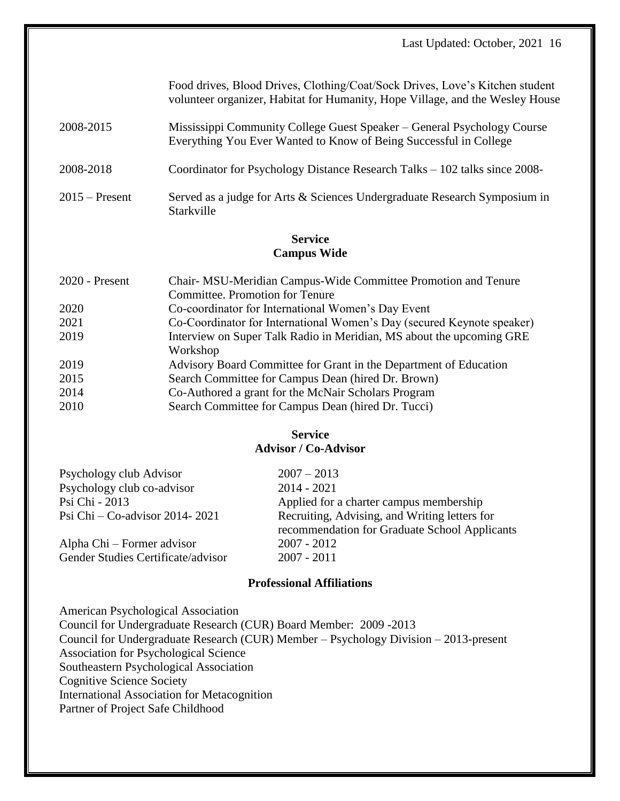|                  | Food drives, Blood Drives, Clothing/Coat/Sock Drives, Love's Kitchen student<br>volunteer organizer, Habitat for Humanity, Hope Village, and the Wesley House |
|------------------|---------------------------------------------------------------------------------------------------------------------------------------------------------------|
| 2008-2015        | Mississippi Community College Guest Speaker – General Psychology Course<br>Everything You Ever Wanted to Know of Being Successful in College                  |
| 2008-2018        | Coordinator for Psychology Distance Research Talks – 102 talks since 2008-                                                                                    |
| $2015$ – Present | Served as a judge for Arts & Sciences Undergraduate Research Symposium in<br>Starkville                                                                       |

# **Service Campus Wide**

| $2020$ - Present | Chair-MSU-Meridian Campus-Wide Committee Promotion and Tenure          |
|------------------|------------------------------------------------------------------------|
|                  | Committee. Promotion for Tenure                                        |
| 2020             | Co-coordinator for International Women's Day Event                     |
| 2021             | Co-Coordinator for International Women's Day (secured Keynote speaker) |
| 2019             | Interview on Super Talk Radio in Meridian, MS about the upcoming GRE   |
|                  | Workshop                                                               |
| 2019             | Advisory Board Committee for Grant in the Department of Education      |
| 2015             | Search Committee for Campus Dean (hired Dr. Brown)                     |
| 2014             | Co-Authored a grant for the McNair Scholars Program                    |
| 2010             | Search Committee for Campus Dean (hired Dr. Tucci)                     |

# **Service Advisor / Co-Advisor**

| Psychology club Advisor            | $2007 - 2013$                                                                                  |
|------------------------------------|------------------------------------------------------------------------------------------------|
| Psychology club co-advisor         | $2014 - 2021$                                                                                  |
| Psi Chi - 2013                     | Applied for a charter campus membership                                                        |
| Psi Chi $-$ Co-advisor 2014-2021   | Recruiting, Advising, and Writing letters for<br>recommendation for Graduate School Applicants |
| Alpha Chi – Former advisor         | $2007 - 2012$                                                                                  |
| Gender Studies Certificate/advisor | $2007 - 2011$                                                                                  |

# **Professional Affiliations**

American Psychological Association Council for Undergraduate Research (CUR) Board Member: 2009 -2013 Council for Undergraduate Research (CUR) Member – Psychology Division – 2013-present Association for Psychological Science Southeastern Psychological Association Cognitive Science Society International Association for Metacognition Partner of Project Safe Childhood